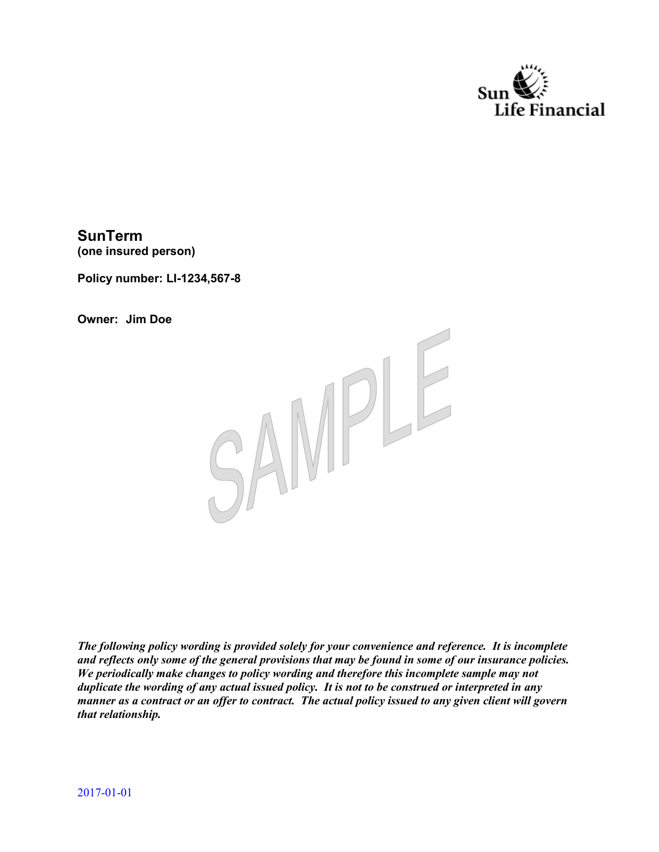

**SunTerm (one insured person)** 

**Policy number: LI-1234,567-8** 

**Owner: Jim Doe** 



*The following policy wording is provided solely for your convenience and reference. It is incomplete and reflects only some of the general provisions that may be found in some of our insurance policies. We periodically make changes to policy wording and therefore this incomplete sample may not duplicate the wording of any actual issued policy. It is not to be construed or interpreted in any manner as a contract or an offer to contract. The actual policy issued to any given client will govern that relationship.*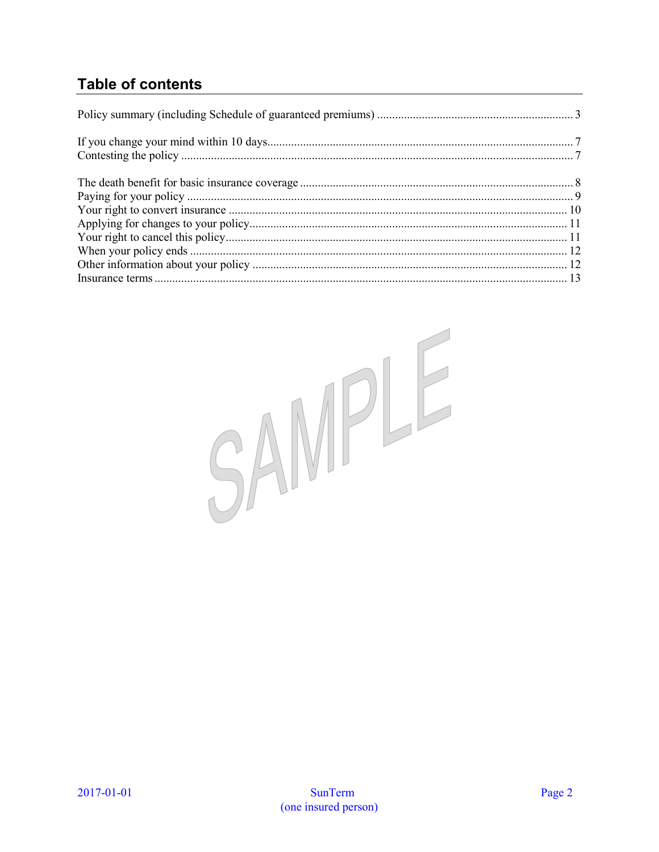# **Table of contents**

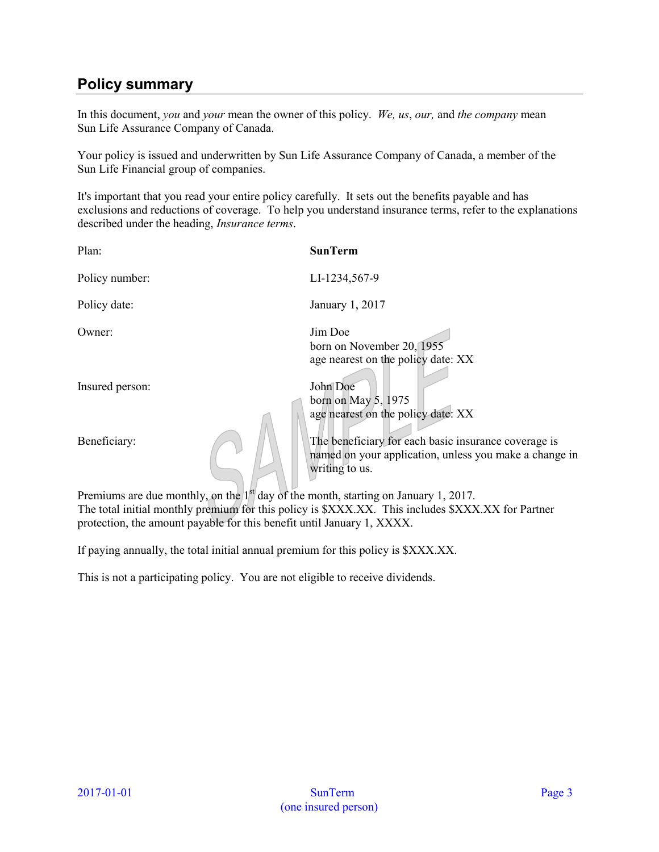# <span id="page-2-0"></span>**Policy summary**

In this document, *you* and *your* mean the owner of this policy. *We, us*, *our,* and *the company* mean Sun Life Assurance Company of Canada.

Your policy is issued and underwritten by Sun Life Assurance Company of Canada, a member of the Sun Life Financial group of companies.

It's important that you read your entire policy carefully. It sets out the benefits payable and has exclusions and reductions of coverage. To help you understand insurance terms, refer to the explanations described under the heading, *Insurance terms*.

| Plan:                                                                                 | <b>SunTerm</b>                                                                                                                   |
|---------------------------------------------------------------------------------------|----------------------------------------------------------------------------------------------------------------------------------|
| Policy number:                                                                        | LI-1234,567-9                                                                                                                    |
| Policy date:                                                                          | January 1, 2017                                                                                                                  |
| Owner:                                                                                | Jim Doe<br>born on November 20, 1955<br>age nearest on the policy date: XX                                                       |
| Insured person:                                                                       | John Doe<br>born on May $5, 1975$<br>age nearest on the policy date: XX                                                          |
| Beneficiary:                                                                          | The beneficiary for each basic insurance coverage is<br>named on your application, unless you make a change in<br>writing to us. |
| Premiums are due monthly, on the $1st$ day of the month, starting on January 1, 2017. |                                                                                                                                  |

The total initial monthly premium for this policy is \$XXX.XX. This includes \$XXX.XX for Partner protection, the amount payable for this benefit until January 1, XXXX.

If paying annually, the total initial annual premium for this policy is \$XXX.XX.

This is not a participating policy. You are not eligible to receive dividends.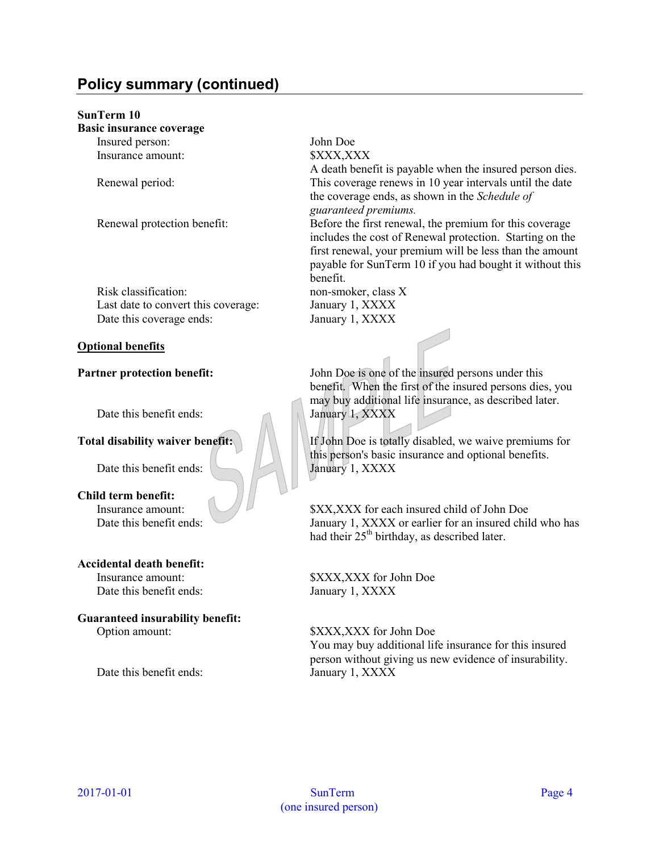# **Policy summary (continued)**

## **SunTerm 10**

| <b>Basic insurance coverage</b> |  |
|---------------------------------|--|
| Insured person:                 |  |
| Insurance amount:               |  |
|                                 |  |

Risk classification: non-smoker, class X Last date to convert this coverage: January 1, XXXX Date this coverage ends: January 1, XXXX

## **Optional benefits**

Date this benefit ends: January 1, XXXX

Date this benefit ends: January 1, XXXX

#### **Child term benefit:**

## **Accidental death benefit:**

Date this benefit ends: January 1, XXXX

# **Guaranteed insurability benefit:**

Date this benefit ends: January 1, XXXX

#### John Doe  $\frac{1}{2}$ XXX,XXX

A death benefit is payable when the insured person dies. Renewal period: This coverage renews in 10 year intervals until the date the coverage ends, as shown in the *Schedule of guaranteed premiums.*

Renewal protection benefit: Before the first renewal, the premium for this coverage includes the cost of Renewal protection. Starting on the first renewal, your premium will be less than the amount payable for SunTerm 10 if you had bought it without this benefit.

**Partner protection benefit:** John Doe is one of the insured persons under this benefit. When the first of the insured persons dies, you may buy additional life insurance, as described later.

**Total disability waiver benefit:**  $\| \cdot \|$  If John Doe is totally disabled, we waive premiums for this person's basic insurance and optional benefits.

Insurance amount: \$XX,XXX for each insured child of John Doe Date this benefit ends: January 1, XXXX or earlier for an insured child who has had their  $25<sup>th</sup>$  birthday, as described later.

Insurance amount: \$XXX,XXX for John Doe

Option amount: \$XXX,XXX for John Doe You may buy additional life insurance for this insured person without giving us new evidence of insurability.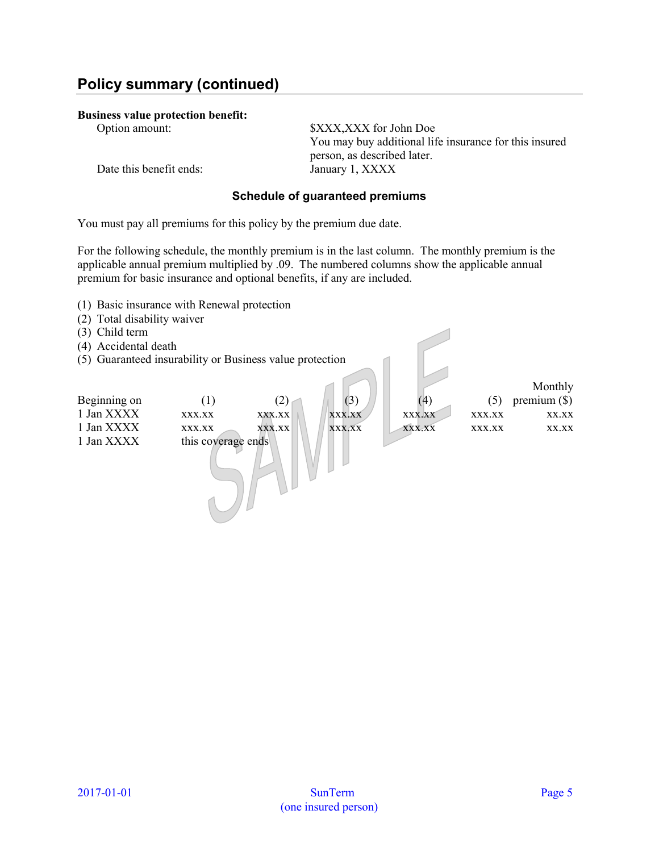#### **Business value protection benefit:**

Option amount: \$XXX,XXX for John Doe You may buy additional life insurance for this insured person, as described later.

Date this benefit ends: January 1, XXXX

# **Schedule of guaranteed premiums**

You must pay all premiums for this policy by the premium due date.

For the following schedule, the monthly premium is in the last column. The monthly premium is the applicable annual premium multiplied by .09. The numbered columns show the applicable annual premium for basic insurance and optional benefits, if any are included.

<span id="page-4-0"></span>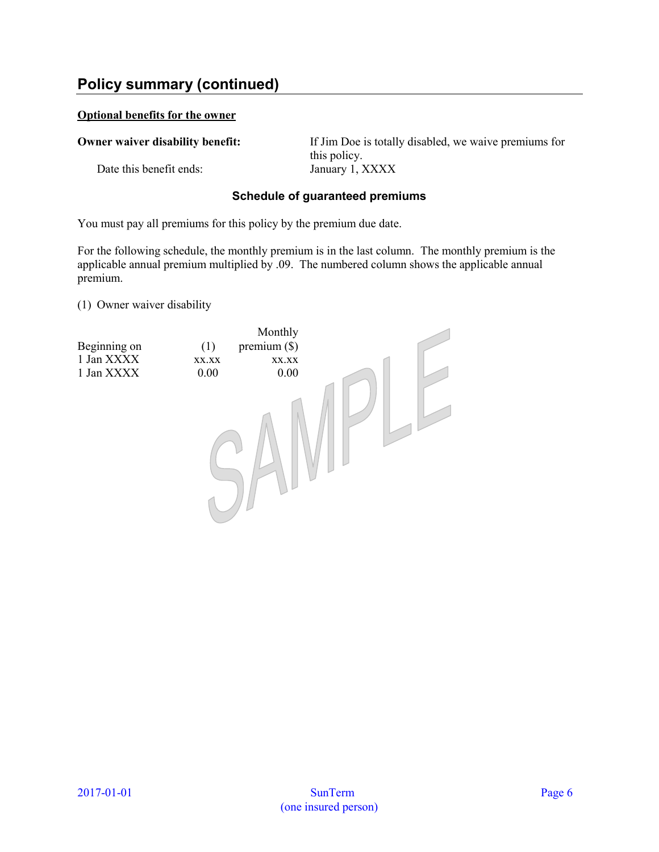# **Policy summary (continued)**

## **Optional benefits for the owner**

Date this benefit ends: January 1, XXXX

**Owner waiver disability benefit:** If Jim Doe is totally disabled, we waive premiums for this policy.

## **Schedule of guaranteed premiums**

You must pay all premiums for this policy by the premium due date.

For the following schedule, the monthly premium is in the last column. The monthly premium is the applicable annual premium multiplied by .09. The numbered column shows the applicable annual premium.

<span id="page-5-0"></span>[\(1\)](#page-4-0) Owner waiver disability

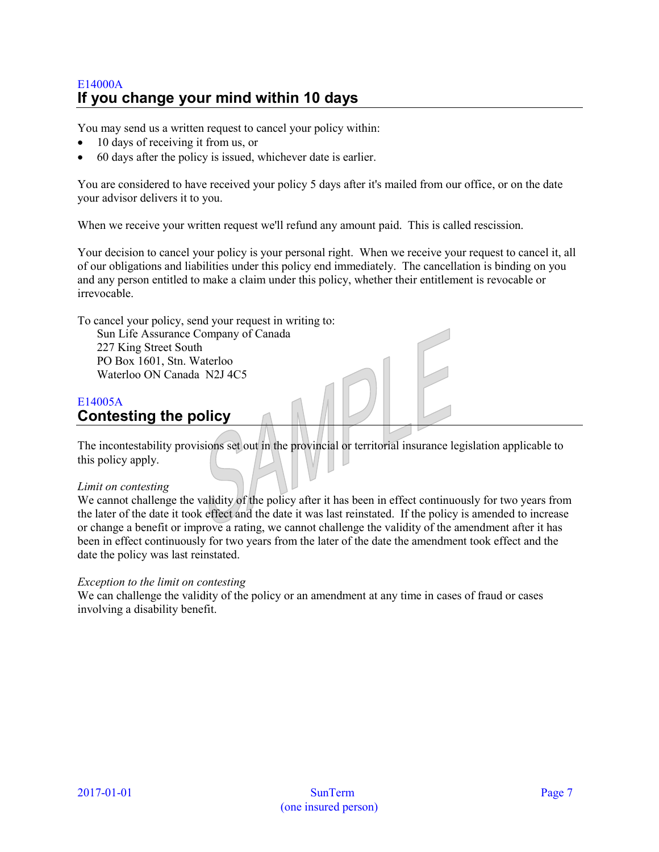# <span id="page-6-0"></span>E14000A **If you change your mind within 10 days**

You may send us a written request to cancel your policy within:

- 10 days of receiving it from us, or
- 60 days after the policy is issued, whichever date is earlier.

You are considered to have received your policy 5 days after it's mailed from our office, or on the date your advisor delivers it to you.

When we receive your written request we'll refund any amount paid. This is called rescission.

Your decision to cancel your policy is your personal right. When we receive your request to cancel it, all of our obligations and liabilities under this policy end immediately. The cancellation is binding on you and any person entitled to make a claim under this policy, whether their entitlement is revocable or irrevocable.

To cancel your policy, send your request in writing to:

Sun Life Assurance Company of Canada 227 King Street South PO Box 1601, Stn. Waterloo Waterloo ON Canada N2J 4C5

# <span id="page-6-1"></span>E14005A **Contesting the policy**

The incontestability provisions set out in the provincial or territorial insurance legislation applicable to this policy apply.

## *Limit on contesting*

We cannot challenge the validity of the policy after it has been in effect continuously for two years from the later of the date it took effect and the date it was last reinstated. If the policy is amended to increase or change a benefit or improve a rating, we cannot challenge the validity of the amendment after it has been in effect continuously for two years from the later of the date the amendment took effect and the date the policy was last reinstated.

## *Exception to the limit on contesting*

We can challenge the validity of the policy or an amendment at any time in cases of fraud or cases involving a disability benefit.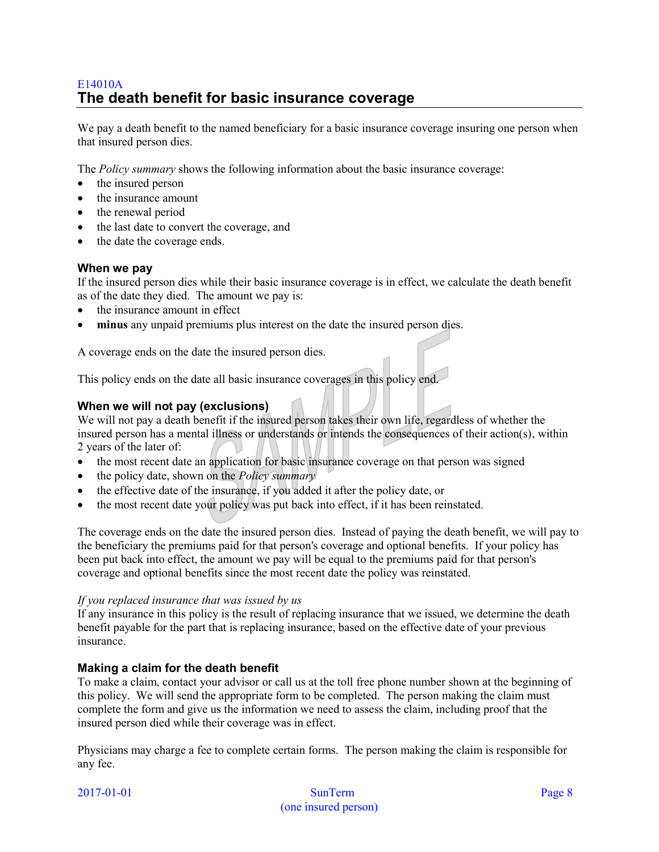# <span id="page-7-0"></span>E14010A **The death benefit for basic insurance coverage**

We pay a death benefit to the named beneficiary for a basic insurance coverage insuring one person when that insured person dies.

The *Policy summary* shows the following information about the basic insurance coverage:

- the insured person
- the insurance amount
- the renewal period
- the last date to convert the coverage, and
- the date the coverage ends.

## **When we pay**

If the insured person dies while their basic insurance coverage is in effect, we calculate the death benefit as of the date they died. The amount we pay is:

- the insurance amount in effect
- **minus** any unpaid premiums plus interest on the date the insured person dies.

A coverage ends on the date the insured person dies.

This policy ends on the date all basic insurance coverages in this policy end.

# **When we will not pay (exclusions)**

We will not pay a death benefit if the insured person takes their own life, regardless of whether the insured person has a mental illness or understands or intends the consequences of their action(s), within 2 years of the later of:

- the most recent date an application for basic insurance coverage on that person was signed
- the policy date, shown on the *Policy summary*
- the effective date of the insurance, if you added it after the policy date, or
- the most recent date your policy was put back into effect, if it has been reinstated.

The coverage ends on the date the insured person dies. Instead of paying the death benefit, we will pay to the beneficiary the premiums paid for that person's coverage and optional benefits. If your policy has been put back into effect, the amount we pay will be equal to the premiums paid for that person's coverage and optional benefits since the most recent date the policy was reinstated.

## *If you replaced insurance that was issued by us*

If any insurance in this policy is the result of replacing insurance that we issued, we determine the death benefit payable for the part that is replacing insurance, based on the effective date of your previous insurance.

# **Making a claim for the death benefit**

To make a claim, contact your advisor or call us at the toll free phone number shown at the beginning of this policy. We will send the appropriate form to be completed. The person making the claim must complete the form and give us the information we need to assess the claim, including proof that the insured person died while their coverage was in effect.

Physicians may charge a fee to complete certain forms. The person making the claim is responsible for any fee.

| 2017-01-01 |  |  |
|------------|--|--|
|            |  |  |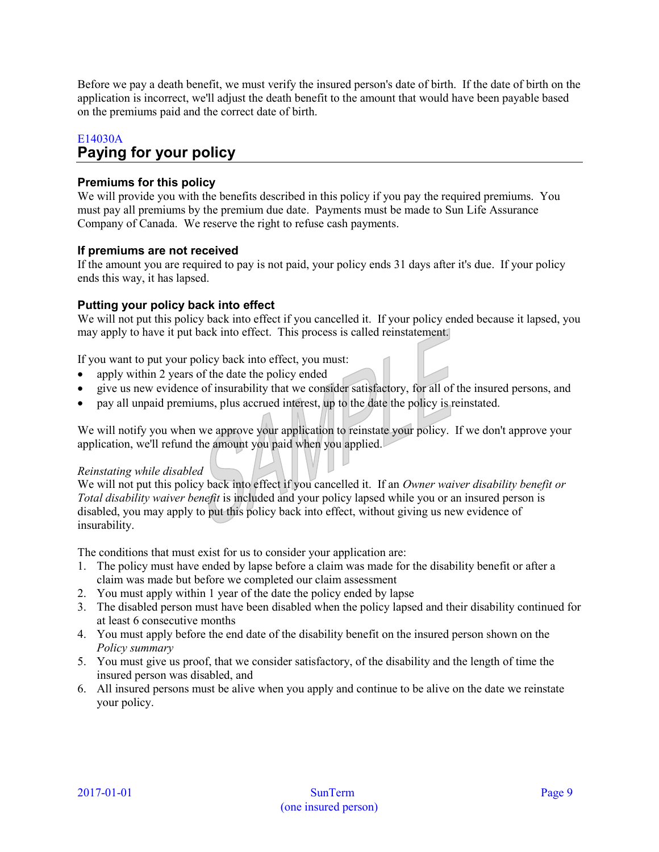Before we pay a death benefit, we must verify the insured person's date of birth. If the date of birth on the application is incorrect, we'll adjust the death benefit to the amount that would have been payable based on the premiums paid and the correct date of birth.

# <span id="page-8-0"></span>E14030A **Paying for your policy**

# **Premiums for this policy**

We will provide you with the benefits described in this policy if you pay the required premiums. You must pay all premiums by the premium due date. Payments must be made to Sun Life Assurance Company of Canada. We reserve the right to refuse cash payments.

# **If premiums are not received**

If the amount you are required to pay is not paid, your policy ends 31 days after it's due. If your policy ends this way, it has lapsed.

# **Putting your policy back into effect**

We will not put this policy back into effect if you cancelled it. If your policy ended because it lapsed, you may apply to have it put back into effect. This process is called reinstatement.

If you want to put your policy back into effect, you must:

- apply within 2 years of the date the policy ended
- give us new evidence of insurability that we consider satisfactory, for all of the insured persons, and
- pay all unpaid premiums, plus accrued interest, up to the date the policy is reinstated.

We will notify you when we approve your application to reinstate your policy. If we don't approve your application, we'll refund the amount you paid when you applied.

## *Reinstating while disabled*

We will not put this policy back into effect if you cancelled it. If an *Owner waiver disability benefit or Total disability waiver benefit* is included and your policy lapsed while you or an insured person is disabled, you may apply to put this policy back into effect, without giving us new evidence of insurability.

The conditions that must exist for us to consider your application are:

- 1. The policy must have ended by lapse before a claim was made for the disability benefit or after a claim was made but before we completed our claim assessment
- 2. You must apply within 1 year of the date the policy ended by lapse
- 3. The disabled person must have been disabled when the policy lapsed and their disability continued for at least 6 consecutive months
- 4. You must apply before the end date of the disability benefit on the insured person shown on the *Policy summary*
- 5. You must give us proof, that we consider satisfactory, of the disability and the length of time the insured person was disabled, and
- 6. All insured persons must be alive when you apply and continue to be alive on the date we reinstate your policy.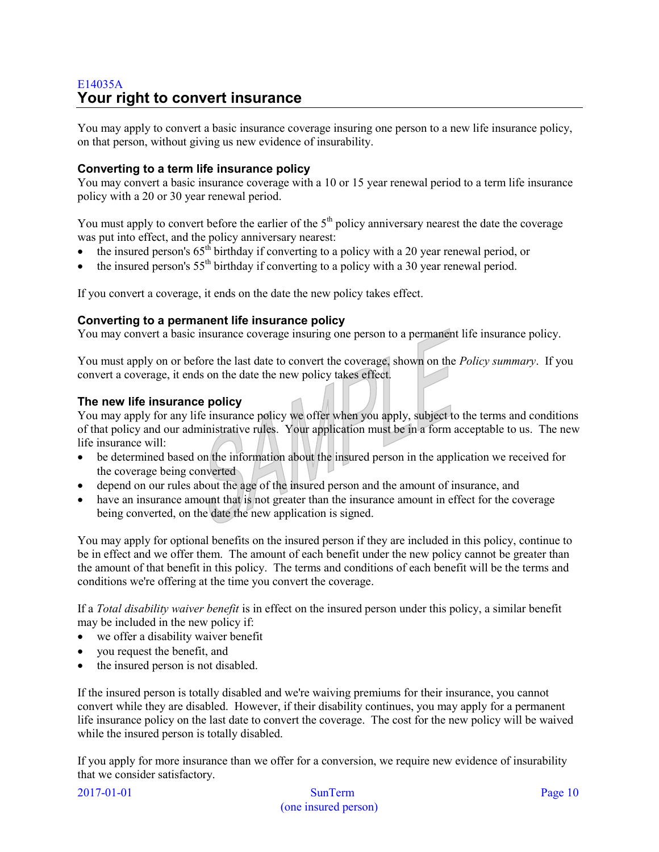# <span id="page-9-0"></span>E14035A **Your right to convert insurance**

You may apply to convert a basic insurance coverage insuring one person to a new life insurance policy, on that person, without giving us new evidence of insurability.

# **Converting to a term life insurance policy**

You may convert a basic insurance coverage with a 10 or 15 year renewal period to a term life insurance policy with a 20 or 30 year renewal period.

You must apply to convert before the earlier of the  $5<sup>th</sup>$  policy anniversary nearest the date the coverage was put into effect, and the policy anniversary nearest:

- the insured person's  $65<sup>th</sup>$  birthday if converting to a policy with a 20 year renewal period, or
- the insured person's  $55<sup>th</sup>$  birthday if converting to a policy with a 30 year renewal period.

If you convert a coverage, it ends on the date the new policy takes effect.

## **Converting to a permanent life insurance policy**

You may convert a basic insurance coverage insuring one person to a permanent life insurance policy.

You must apply on or before the last date to convert the coverage, shown on the *Policy summary*. If you convert a coverage, it ends on the date the new policy takes effect.

## **The new life insurance policy**

You may apply for any life insurance policy we offer when you apply, subject to the terms and conditions of that policy and our administrative rules. Your application must be in a form acceptable to us. The new life insurance will:

- be determined based on the information about the insured person in the application we received for the coverage being converted
- depend on our rules about the age of the insured person and the amount of insurance, and
- have an insurance amount that is not greater than the insurance amount in effect for the coverage being converted, on the date the new application is signed.

You may apply for optional benefits on the insured person if they are included in this policy, continue to be in effect and we offer them. The amount of each benefit under the new policy cannot be greater than the amount of that benefit in this policy. The terms and conditions of each benefit will be the terms and conditions we're offering at the time you convert the coverage.

If a *Total disability waiver benefit* is in effect on the insured person under this policy, a similar benefit may be included in the new policy if:

- we offer a disability waiver benefit
- you request the benefit, and
- the insured person is not disabled.

If the insured person is totally disabled and we're waiving premiums for their insurance, you cannot convert while they are disabled. However, if their disability continues, you may apply for a permanent life insurance policy on the last date to convert the coverage. The cost for the new policy will be waived while the insured person is totally disabled.

If you apply for more insurance than we offer for a conversion, we require new evidence of insurability that we consider satisfactory.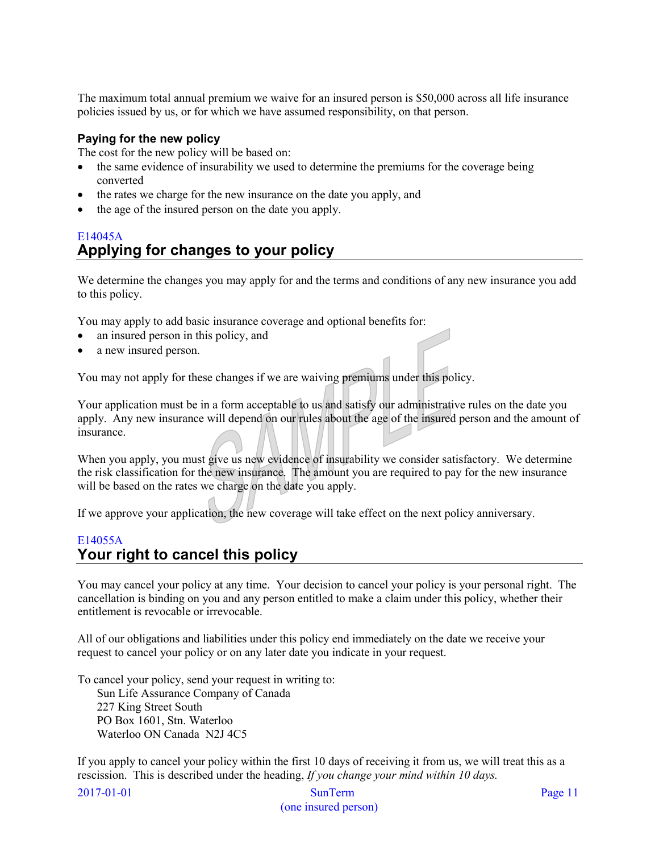The maximum total annual premium we waive for an insured person is \$50,000 across all life insurance policies issued by us, or for which we have assumed responsibility, on that person.

## **Paying for the new policy**

The cost for the new policy will be based on:

- the same evidence of insurability we used to determine the premiums for the coverage being converted
- the rates we charge for the new insurance on the date you apply, and
- the age of the insured person on the date you apply.

# <span id="page-10-0"></span>E14045A **Applying for changes to your policy**

We determine the changes you may apply for and the terms and conditions of any new insurance you add to this policy.

You may apply to add basic insurance coverage and optional benefits for:

- an insured person in this policy, and
- a new insured person.

You may not apply for these changes if we are waiving premiums under this policy.

Your application must be in a form acceptable to us and satisfy our administrative rules on the date you apply. Any new insurance will depend on our rules about the age of the insured person and the amount of insurance.

When you apply, you must give us new evidence of insurability we consider satisfactory. We determine the risk classification for the new insurance. The amount you are required to pay for the new insurance will be based on the rates we charge on the date you apply.

If we approve your application, the new coverage will take effect on the next policy anniversary.

# <span id="page-10-1"></span>E14055A **Your right to cancel this policy**

You may cancel your policy at any time. Your decision to cancel your policy is your personal right. The cancellation is binding on you and any person entitled to make a claim under this policy, whether their entitlement is revocable or irrevocable.

All of our obligations and liabilities under this policy end immediately on the date we receive your request to cancel your policy or on any later date you indicate in your request.

To cancel your policy, send your request in writing to:

Sun Life Assurance Company of Canada 227 King Street South PO Box 1601, Stn. Waterloo Waterloo ON Canada N2J 4C5

If you apply to cancel your policy within the first 10 days of receiving it from us, we will treat this as a rescission. This is described under the heading, *If you change your mind within 10 days.* 

2017-01-01 SunTerm Page 11 (one insured person)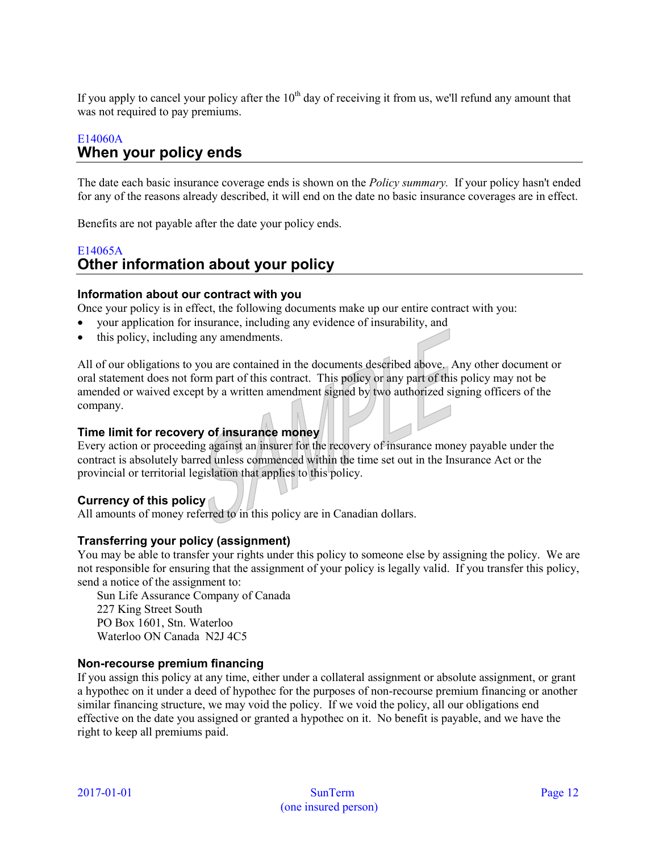If you apply to cancel your policy after the  $10<sup>th</sup>$  day of receiving it from us, we'll refund any amount that was not required to pay premiums.

# <span id="page-11-0"></span>E14060A **When your policy ends**

The date each basic insurance coverage ends is shown on the *Policy summary.* If your policy hasn't ended for any of the reasons already described, it will end on the date no basic insurance coverages are in effect.

Benefits are not payable after the date your policy ends.

# <span id="page-11-1"></span>E14065A **Other information about your policy**

## **Information about our contract with you**

Once your policy is in effect, the following documents make up our entire contract with you:

- your application for insurance, including any evidence of insurability, and
- this policy, including any amendments.

All of our obligations to you are contained in the documents described above. Any other document or oral statement does not form part of this contract. This policy or any part of this policy may not be amended or waived except by a written amendment signed by two authorized signing officers of the company.

## **Time limit for recovery of insurance money**

Every action or proceeding against an insurer for the recovery of insurance money payable under the contract is absolutely barred unless commenced within the time set out in the Insurance Act or the provincial or territorial legislation that applies to this policy.

## **Currency of this policy**

All amounts of money referred to in this policy are in Canadian dollars.

## **Transferring your policy (assignment)**

You may be able to transfer your rights under this policy to someone else by assigning the policy. We are not responsible for ensuring that the assignment of your policy is legally valid. If you transfer this policy, send a notice of the assignment to:

Sun Life Assurance Company of Canada 227 King Street South PO Box 1601, Stn. Waterloo Waterloo ON Canada N2J 4C5

## **Non-recourse premium financing**

If you assign this policy at any time, either under a collateral assignment or absolute assignment, or grant a hypothec on it under a deed of hypothec for the purposes of non-recourse premium financing or another similar financing structure, we may void the policy. If we void the policy, all our obligations end effective on the date you assigned or granted a hypothec on it. No benefit is payable, and we have the right to keep all premiums paid.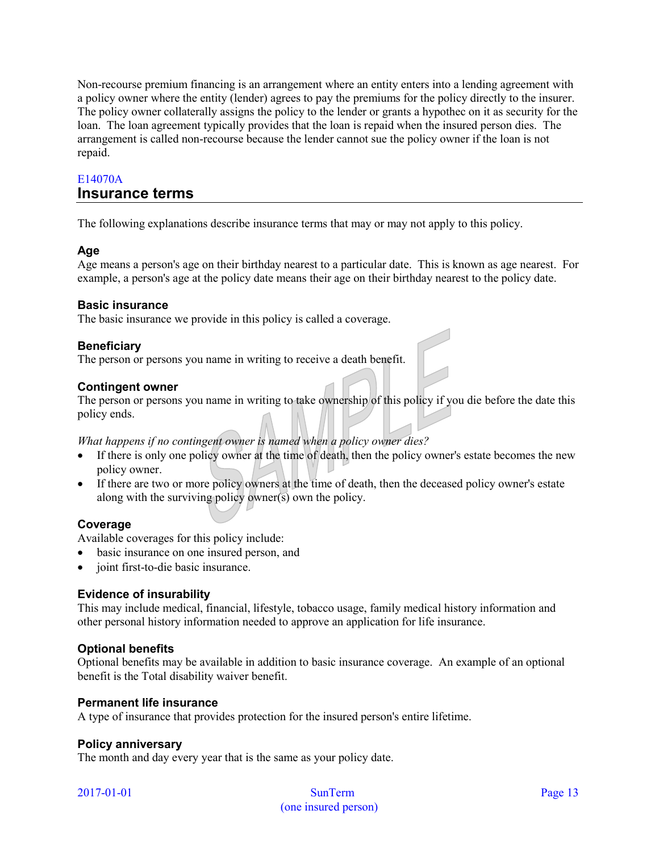Non-recourse premium financing is an arrangement where an entity enters into a lending agreement with a policy owner where the entity (lender) agrees to pay the premiums for the policy directly to the insurer. The policy owner collaterally assigns the policy to the lender or grants a hypothec on it as security for the loan. The loan agreement typically provides that the loan is repaid when the insured person dies. The arrangement is called non-recourse because the lender cannot sue the policy owner if the loan is not repaid.

# <span id="page-12-0"></span>E14070A **Insurance terms**

The following explanations describe insurance terms that may or may not apply to this policy.

# **Age**

Age means a person's age on their birthday nearest to a particular date. This is known as age nearest. For example, a person's age at the policy date means their age on their birthday nearest to the policy date.

# **Basic insurance**

The basic insurance we provide in this policy is called a coverage.

# **Beneficiary**

The person or persons you name in writing to receive a death benefit.

# **Contingent owner**

The person or persons you name in writing to take ownership of this policy if you die before the date this policy ends.

*What happens if no contingent owner is named when a policy owner dies?* 

- If there is only one policy owner at the time of death, then the policy owner's estate becomes the new policy owner.
- If there are two or more policy owners at the time of death, then the deceased policy owner's estate along with the surviving policy owner(s) own the policy.

# **Coverage**

Available coverages for this policy include:

- basic insurance on one insured person, and
- joint first-to-die basic insurance.

# **Evidence of insurability**

This may include medical, financial, lifestyle, tobacco usage, family medical history information and other personal history information needed to approve an application for life insurance.

# **Optional benefits**

Optional benefits may be available in addition to basic insurance coverage. An example of an optional benefit is the Total disability waiver benefit.

## **Permanent life insurance**

A type of insurance that provides protection for the insured person's entire lifetime.

## **Policy anniversary**

The month and day every year that is the same as your policy date.

| 2017-01-01 |  |  |
|------------|--|--|